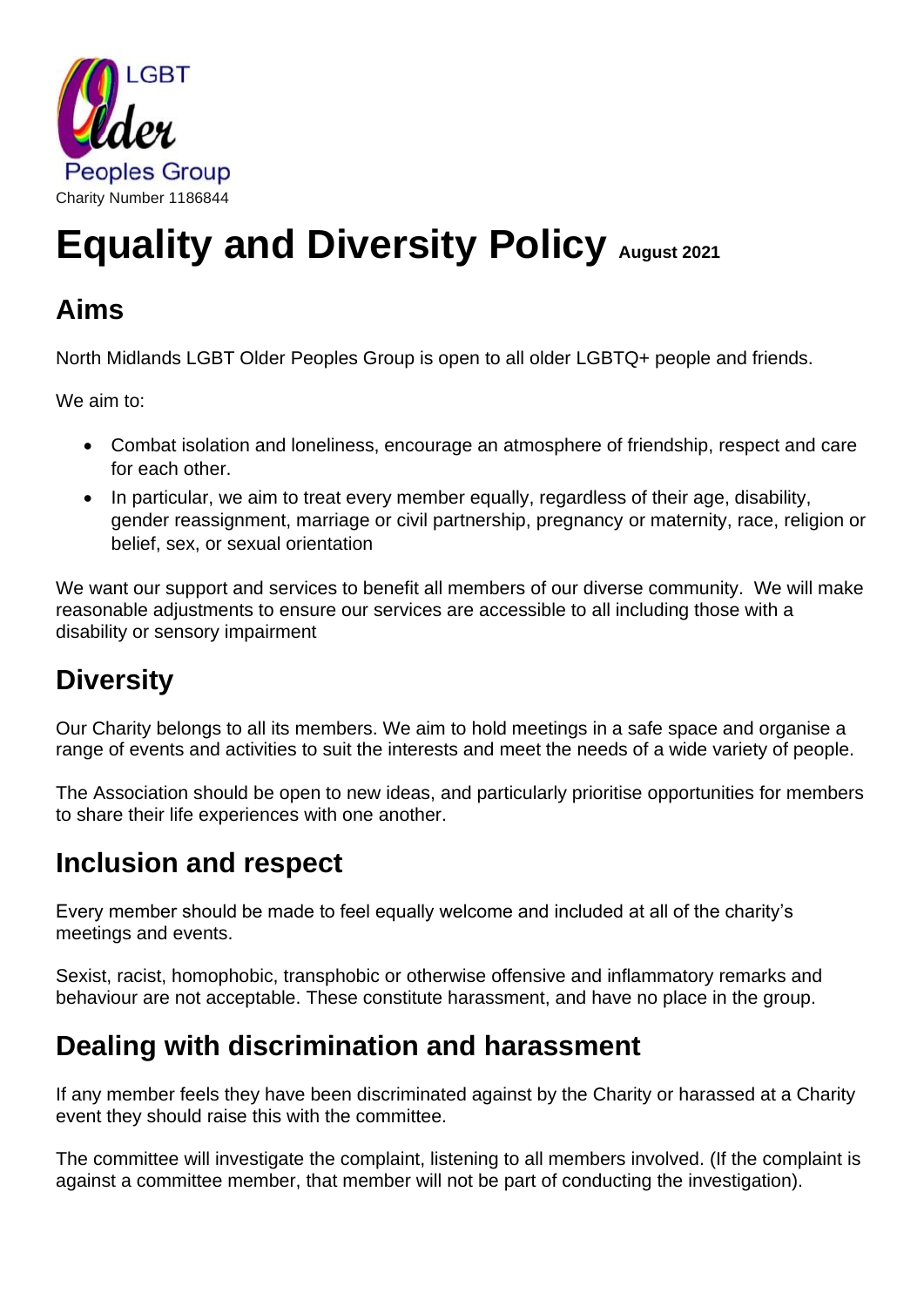

# **Equality and Diversity Policy August <sup>2021</sup>**

#### **Aims**

North Midlands LGBT Older Peoples Group is open to all older LGBTQ+ people and friends.

We aim to:

- Combat isolation and loneliness, encourage an atmosphere of friendship, respect and care for each other.
- In particular, we aim to treat every member equally, regardless of their age, disability, gender reassignment, marriage or civil partnership, pregnancy or maternity, race, religion or belief, sex, or sexual orientation

We want our support and services to benefit all members of our diverse community. We will make reasonable adjustments to ensure our services are accessible to all including those with a disability or sensory impairment

## **Diversity**

Our Charity belongs to all its members. We aim to hold meetings in a safe space and organise a range of events and activities to suit the interests and meet the needs of a wide variety of people.

The Association should be open to new ideas, and particularly prioritise opportunities for members to share their life experiences with one another.

### **Inclusion and respect**

Every member should be made to feel equally welcome and included at all of the charity's meetings and events.

Sexist, racist, homophobic, transphobic or otherwise offensive and inflammatory remarks and behaviour are not acceptable. These constitute harassment, and have no place in the group.

#### **Dealing with discrimination and harassment**

If any member feels they have been discriminated against by the Charity or harassed at a Charity event they should raise this with the committee.

The committee will investigate the complaint, listening to all members involved. (If the complaint is against a committee member, that member will not be part of conducting the investigation).